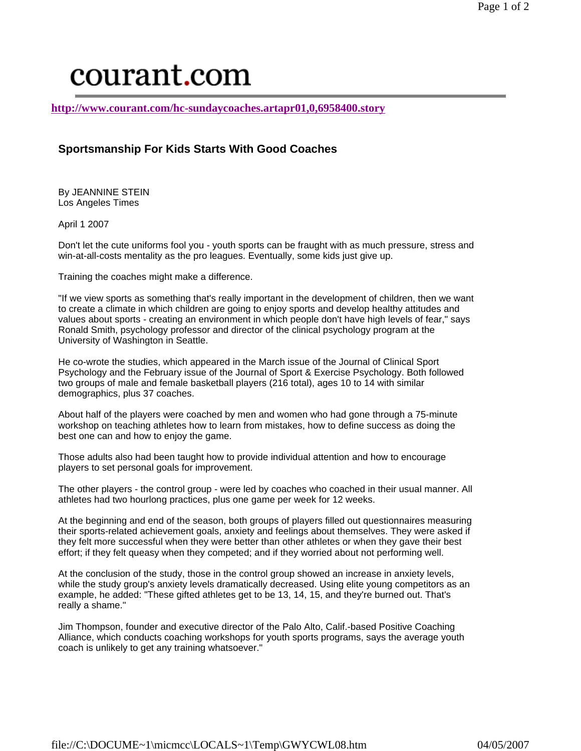## courant.com

**http://www.courant.com/hc-sundaycoaches.artapr01,0,6958400.story**

## **Sportsmanship For Kids Starts With Good Coaches**

By JEANNINE STEIN Los Angeles Times

April 1 2007

Don't let the cute uniforms fool you - youth sports can be fraught with as much pressure, stress and win-at-all-costs mentality as the pro leagues. Eventually, some kids just give up.

Training the coaches might make a difference.

"If we view sports as something that's really important in the development of children, then we want to create a climate in which children are going to enjoy sports and develop healthy attitudes and values about sports - creating an environment in which people don't have high levels of fear," says Ronald Smith, psychology professor and director of the clinical psychology program at the University of Washington in Seattle.

He co-wrote the studies, which appeared in the March issue of the Journal of Clinical Sport Psychology and the February issue of the Journal of Sport & Exercise Psychology. Both followed two groups of male and female basketball players (216 total), ages 10 to 14 with similar demographics, plus 37 coaches.

About half of the players were coached by men and women who had gone through a 75-minute workshop on teaching athletes how to learn from mistakes, how to define success as doing the best one can and how to enjoy the game.

Those adults also had been taught how to provide individual attention and how to encourage players to set personal goals for improvement.

The other players - the control group - were led by coaches who coached in their usual manner. All athletes had two hourlong practices, plus one game per week for 12 weeks.

At the beginning and end of the season, both groups of players filled out questionnaires measuring their sports-related achievement goals, anxiety and feelings about themselves. They were asked if they felt more successful when they were better than other athletes or when they gave their best effort; if they felt queasy when they competed; and if they worried about not performing well.

At the conclusion of the study, those in the control group showed an increase in anxiety levels, while the study group's anxiety levels dramatically decreased. Using elite young competitors as an example, he added: "These gifted athletes get to be 13, 14, 15, and they're burned out. That's really a shame."

Jim Thompson, founder and executive director of the Palo Alto, Calif.-based Positive Coaching Alliance, which conducts coaching workshops for youth sports programs, says the average youth coach is unlikely to get any training whatsoever."